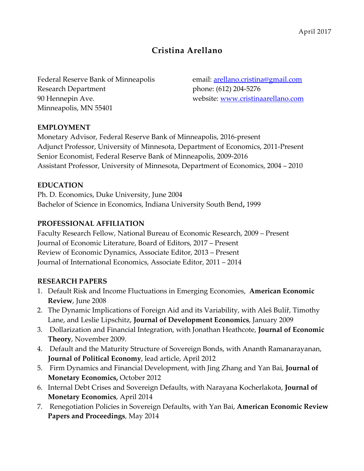# **Cristina Arellano**

Federal Reserve Bank of Minneapolis email: [arellano.cristina@gmail.com](mailto:arellano.cristina@gmail.com) Research Department phone: (612) 204-5276 90 Hennepin Ave. website: [www.cristinaarellano.com](http://www.cristinaarellano.com/) Minneapolis, MN 55401

### **EMPLOYMENT**

Monetary Advisor, Federal Reserve Bank of Minneapolis, 2016-present Adjunct Professor, University of Minnesota, Department of Economics, 2011-Present Senior Economist, Federal Reserve Bank of Minneapolis, 2009-2016 Assistant Professor, University of Minnesota, Department of Economics, 2004 – 2010

### **EDUCATION**

Ph. D. Economics, Duke University, June 2004 Bachelor of Science in Economics, Indiana University South Bend**,** 1999

### **PROFESSIONAL AFFILIATION**

Faculty Research Fellow, National Bureau of Economic Research, 2009 – Present Journal of Economic Literature, Board of Editors, 2017 – Present Review of Economic Dynamics, Associate Editor, 2013 – Present Journal of International Economics, Associate Editor, 2011 – 2014

### **RESEARCH PAPERS**

- 1. Default Risk and Income Fluctuations in Emerging Economies, **American Economic Review**, June 2008
- 2. The Dynamic Implications of Foreign Aid and its Variability, with Aleš Bulíř, Timothy Lane, and Leslie Lipschitz, **Journal of Development Economics**, January 2009
- 3. Dollarization and Financial Integration, with Jonathan Heathcote, **Journal of Economic Theory**, November 2009.
- 4. Default and the Maturity Structure of Sovereign Bonds, with Ananth Ramanarayanan, **Journal of Political Economy**, lead article, April 2012
- 5. Firm Dynamics and Financial Development, with Jing Zhang and Yan Bai, **Journal of Monetary Economics,** October 2012
- 6. Internal Debt Crises and Sovereign Defaults, with Narayana Kocherlakota, **Journal of Monetary Economics**, April 2014
- 7. Renegotiation Policies in Sovereign Defaults, with Yan Bai, **American Economic Review Papers and Proceedings**, May 2014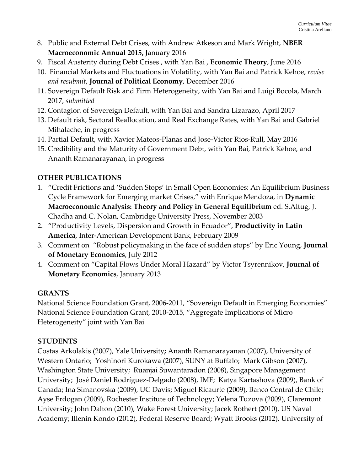- 8. Public and External Debt Crises, with Andrew Atkeson and Mark Wright, **NBER Macroeconomic Annual 2015,** January 2016
- 9. Fiscal Austerity during Debt Crises , with Yan Bai , **Economic Theory**, June 2016
- 10. Financial Markets and Fluctuations in Volatility, with Yan Bai and Patrick Kehoe, *revise and resubmit*, **Journal of Political Economy**, December 2016
- 11. Sovereign Default Risk and Firm Heterogeneity, with Yan Bai and Luigi Bocola, March 2017, *submitted*
- 12. Contagion of Sovereign Default, with Yan Bai and Sandra Lizarazo, April 2017
- 13. Default risk, Sectoral Reallocation, and Real Exchange Rates, with Yan Bai and Gabriel Mihalache, in progress
- 14. Partial Default, with Xavier Mateos-Planas and Jose-Victor Rios-Rull, May 2016
- 15. Credibility and the Maturity of Government Debt, with Yan Bai, Patrick Kehoe, and Ananth Ramanarayanan, in progress

### **OTHER PUBLICATIONS**

- 1. "Credit Frictions and 'Sudden Stops' in Small Open Economies: An Equilibrium Business Cycle Framework for Emerging market Crises," with Enrique Mendoza, in **Dynamic Macroeconomic Analysis: Theory and Policy in General Equilibrium** ed. S.Altug, J. Chadha and C. Nolan, Cambridge University Press, November 2003
- 2. "Productivity Levels, Dispersion and Growth in Ecuador", **Productivity in Latin America**, Inter-American Development Bank, February 2009
- 3. Comment on "Robust policymaking in the face of sudden stops" by Eric Young, **Journal of Monetary Economics**, July 2012
- 4. Comment on "Capital Flows Under Moral Hazard" by Victor Tsyrennikov, **Journal of Monetary Economics**, January 2013

### **GRANTS**

National Science Foundation Grant, 2006-2011, "Sovereign Default in Emerging Economies" National Science Foundation Grant, 2010-2015, "Aggregate Implications of Micro Heterogeneity" joint with Yan Bai

### **STUDENTS**

Costas Arkolakis (2007), Yale University**;** Ananth Ramanarayanan (2007), University of Western Ontario; Yoshinori Kurokawa (2007), SUNY at Buffalo; Mark Gibson (2007), Washington State University; Ruanjai Suwantaradon (2008), Singapore Management University; José Daniel Rodríguez-Delgado (2008), IMF; Katya Kartashova (2009), Bank of Canada; Ina Simanovska (2009), UC Davis; Miguel Ricaurte (2009), Banco Central de Chile; Ayse Erdogan (2009), Rochester Institute of Technology; Yelena Tuzova (2009), Claremont University; John Dalton (2010), Wake Forest University; Jacek Rothert (2010), US Naval Academy; Illenin Kondo (2012), Federal Reserve Board; Wyatt Brooks (2012), University of